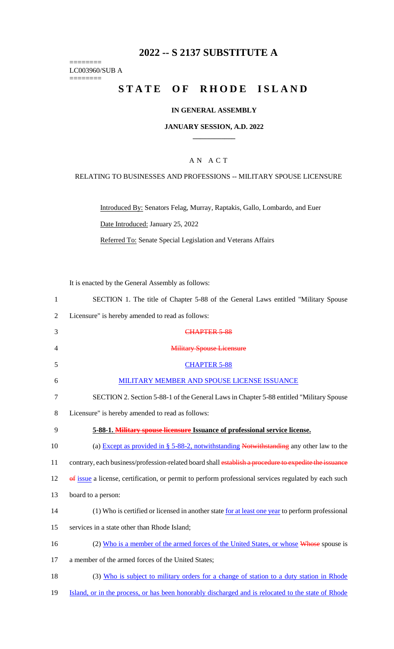# **2022 -- S 2137 SUBSTITUTE A**

======== LC003960/SUB A ========

# **STATE OF RHODE ISLAND**

## **IN GENERAL ASSEMBLY**

#### **JANUARY SESSION, A.D. 2022 \_\_\_\_\_\_\_\_\_\_\_\_**

### A N A C T

#### RELATING TO BUSINESSES AND PROFESSIONS -- MILITARY SPOUSE LICENSURE

Introduced By: Senators Felag, Murray, Raptakis, Gallo, Lombardo, and Euer Date Introduced: January 25, 2022

Referred To: Senate Special Legislation and Veterans Affairs

It is enacted by the General Assembly as follows:

| $\mathbf{1}$   | SECTION 1. The title of Chapter 5-88 of the General Laws entitled "Military Spouse                    |
|----------------|-------------------------------------------------------------------------------------------------------|
| $\overline{2}$ | Licensure" is hereby amended to read as follows:                                                      |
| 3              | CHAPTER 5-88                                                                                          |
| $\overline{4}$ | <b>Military Spouse Licensure</b>                                                                      |
| 5              | <b>CHAPTER 5-88</b>                                                                                   |
| 6              | MILITARY MEMBER AND SPOUSE LICENSE ISSUANCE                                                           |
| 7              | SECTION 2. Section 5-88-1 of the General Laws in Chapter 5-88 entitled "Military Spouse"              |
| $8\,$          | Licensure" is hereby amended to read as follows:                                                      |
| 9              | 5-88-1. Military spouse licensure Issuance of professional service license.                           |
| 10             | (a) Except as provided in $\S$ 5-88-2, notwithstanding Notwithstanding any other law to the           |
| 11             | contrary, each business/profession-related board shall establish a procedure to expedite the issuance |
| 12             | of issue a license, certification, or permit to perform professional services regulated by each such  |
| 13             | board to a person:                                                                                    |
| 14             | (1) Who is certified or licensed in another state for at least one year to perform professional       |
| 15             | services in a state other than Rhode Island;                                                          |
| 16             | (2) Who is a member of the armed forces of the United States, or whose Whose spouse is                |
| 17             | a member of the armed forces of the United States;                                                    |
| 18             | (3) Who is subject to military orders for a change of station to a duty station in Rhode              |
| 19             | Island, or in the process, or has been honorably discharged and is relocated to the state of Rhode    |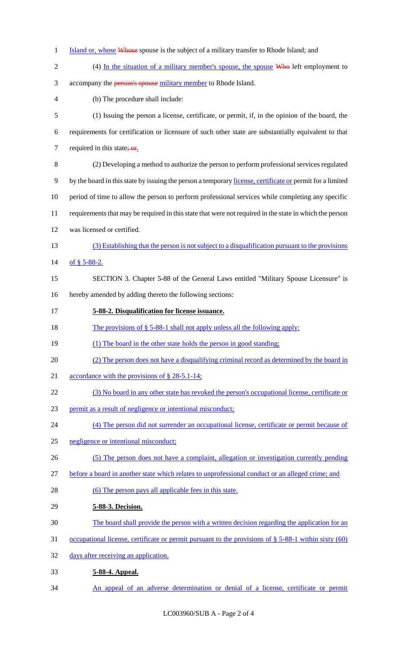- 1 Island or, whose Whose spouse is the subject of a military transfer to Rhode Island; and
- 2 (4) In the situation of a military member's spouse, the spouse Who left employment to 3 accompany the **person's spouse** military member to Rhode Island. (b) The procedure shall include: (1) Issuing the person a license, certificate, or permit, if, in the opinion of the board, the requirements for certification or licensure of such other state are substantially equivalent to that 7 required in this state;  $or$ . (2) Developing a method to authorize the person to perform professional services regulated 9 by the board in this state by issuing the person a temporary license, certificate or permit for a limited period of time to allow the person to perform professional services while completing any specific requirements that may be required in this state that were not required in the state in which the person was licensed or certified. (3) Establishing that the person is not subject to a disqualification pursuant to the provisions of § 5-88-2. SECTION 3. Chapter 5-88 of the General Laws entitled "Military Spouse Licensure" is hereby amended by adding thereto the following sections: **5-88-2. Disqualification for license issuance.**  18 The provisions of § 5-88-1 shall not apply unless all the following apply: 19 (1) The board in the other state holds the person in good standing; (2) The person does not have a disqualifying criminal record as determined by the board in accordance with the provisions of § 28-5.1-14; (3) No board in any other state has revoked the person's occupational license, certificate or permit as a result of negligence or intentional misconduct; (4) The person did not surrender an occupational license, certificate or permit because of negligence or intentional misconduct; (5) The person does not have a complaint, allegation or investigation currently pending before a board in another state which relates to unprofessional conduct or an alleged crime; and 28 (6) The person pays all applicable fees in this state. **5-88-3. Decision.**  The board shall provide the person with a written decision regarding the application for an occupational license, certificate or permit pursuant to the provisions of § 5-88-1 within sixty (60) days after receiving an application. **5-88-4. Appeal.**

An appeal of an adverse determination or denial of a license, certificate or permit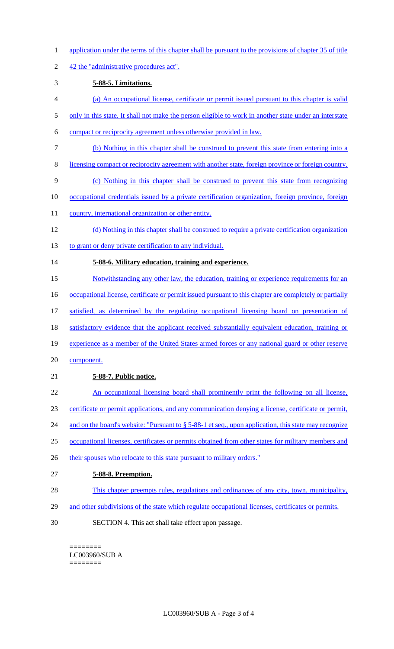- 1 application under the terms of this chapter shall be pursuant to the provisions of chapter 35 of title
- 2 42 the "administrative procedures act".

### 3 **5-88-5. Limitations.**

- 4 (a) An occupational license, certificate or permit issued pursuant to this chapter is valid
- 5 only in this state. It shall not make the person eligible to work in another state under an interstate
- 6 compact or reciprocity agreement unless otherwise provided in law.
- 7 (b) Nothing in this chapter shall be construed to prevent this state from entering into a
- 8 licensing compact or reciprocity agreement with another state, foreign province or foreign country.
- 9 (c) Nothing in this chapter shall be construed to prevent this state from recognizing
- 10 occupational credentials issued by a private certification organization, foreign province, foreign
- 11 country, international organization or other entity.
- 12 (d) Nothing in this chapter shall be construed to require a private certification organization
- 13 to grant or deny private certification to any individual.

## 14 **5-88-6. Military education, training and experience.**

- 15 Notwithstanding any other law, the education, training or experience requirements for an
- 16 occupational license, certificate or permit issued pursuant to this chapter are completely or partially
- 17 satisfied, as determined by the regulating occupational licensing board on presentation of
- 18 satisfactory evidence that the applicant received substantially equivalent education, training or
- 19 experience as a member of the United States armed forces or any national guard or other reserve
- 20 component.

## 21 **5-88-7. Public notice.**

- 22 An occupational licensing board shall prominently print the following on all license,
- 23 certificate or permit applications, and any communication denying a license, certificate or permit,
- 24 and on the board's website: "Pursuant to § 5-88-1 et seq., upon application, this state may recognize
- 25 occupational licenses, certificates or permits obtained from other states for military members and
- 26 their spouses who relocate to this state pursuant to military orders."

## 27 **5-88-8. Preemption.**

- 28 This chapter preempts rules, regulations and ordinances of any city, town, municipality,
- 29 and other subdivisions of the state which regulate occupational licenses, certificates or permits.
- 30 SECTION 4. This act shall take effect upon passage.

<sup>========</sup> LC003960/SUB A ========